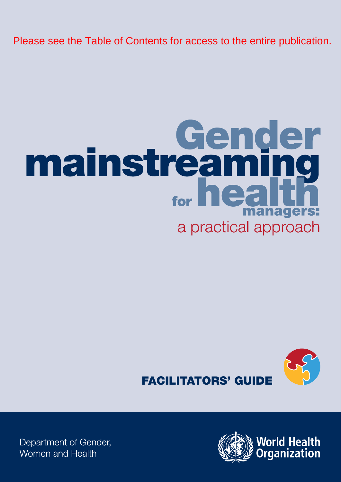Please see the Table of Contents for access to the entire publication.

# **mainstreaming** for  $\mathbf{h}$ anagers: a practical approach





Department of Gender, Women and Health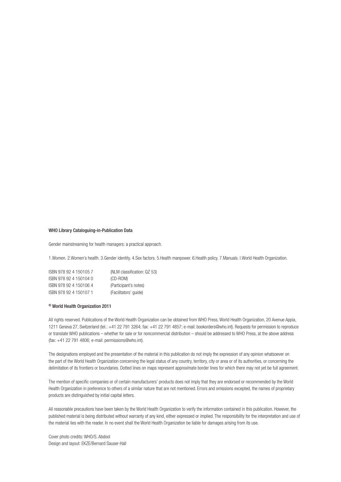#### WHO Library Cataloguing-in-Publication Data

Gender mainstreaming for health managers: a practical approach.

1.Women. 2.Women's health. 3.Gender identity. 4.Sex factors. 5.Health manpower. 6.Health policy. 7.Manuals. I.World Health Organization.

| ISBN 978 92 4 150105 7 | (NLM classification: QZ 53) |
|------------------------|-----------------------------|
| ISBN 978 92 4 150104 0 | (CD-ROM)                    |
| ISBN 978 92 4 150106 4 | (Participant's notes)       |
| ISBN 978 92 4 150107 1 | (Facilitators' guide)       |

### © World Health Organization 2011

All rights reserved. Publications of the World Health Organization can be obtained from WHO Press, World Health Organization, 20 Avenue Appia, 1211 Geneva 27, Switzerland (tel.: +41 22 791 3264; fax: +41 22 791 4857; e-mail: bookorders@who.int). Requests for permission to reproduce or translate WHO publications – whether for sale or for noncommercial distribution – should be addressed to WHO Press, at the above address (fax: +41 22 791 4806; e-mail: permissions@who.int).

The designations employed and the presentation of the material in this publication do not imply the expression of any opinion whatsoever on the part of the World Health Organization concerning the legal status of any country, territory, city or area or of its authorities, or concerning the delimitation of its frontiers or boundaries. Dotted lines on maps represent approximate border lines for which there may not yet be full agreement.

The mention of specific companies or of certain manufacturers' products does not imply that they are endorsed or recommended by the World Health Organization in preference to others of a similar nature that are not mentioned. Errors and omissions excepted, the names of proprietary products are distinguished by initial capital letters.

All reasonable precautions have been taken by the World Health Organization to verify the information contained in this publication. However, the published material is being distributed without warranty of any kind, either expressed or implied. The responsibility for the interpretation and use of the material lies with the reader. In no event shall the World Health Organization be liable for damages arising from its use.

Cover photo credits: WHO/S. Abdool Design and layout: EKZE/Bernard Sauser-Hall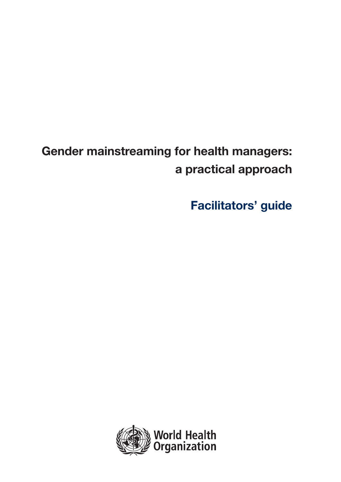# **Gender mainstreaming for health managers: a practical approach**

**Facilitators' guide**

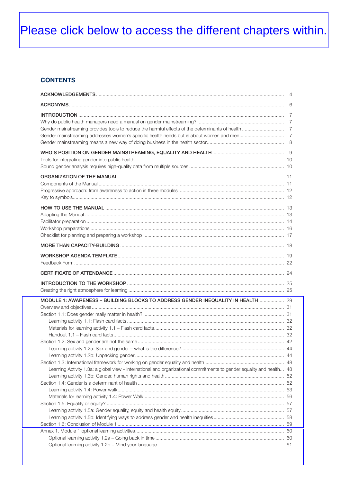# Please click below to access the different chapters within.

# **CONTENTS**

| MODULE 1: AWARENESS - BUILDING BLOCKS TO ADDRESS GENDER INEQUALITY IN HEALTH 29                                       |  |
|-----------------------------------------------------------------------------------------------------------------------|--|
|                                                                                                                       |  |
|                                                                                                                       |  |
|                                                                                                                       |  |
|                                                                                                                       |  |
|                                                                                                                       |  |
|                                                                                                                       |  |
|                                                                                                                       |  |
|                                                                                                                       |  |
|                                                                                                                       |  |
|                                                                                                                       |  |
| Learning Activity 1.3a: a global view - international and organizational commitments to gender equality and health 48 |  |
|                                                                                                                       |  |
|                                                                                                                       |  |
|                                                                                                                       |  |
|                                                                                                                       |  |
|                                                                                                                       |  |
|                                                                                                                       |  |
|                                                                                                                       |  |
|                                                                                                                       |  |
|                                                                                                                       |  |
|                                                                                                                       |  |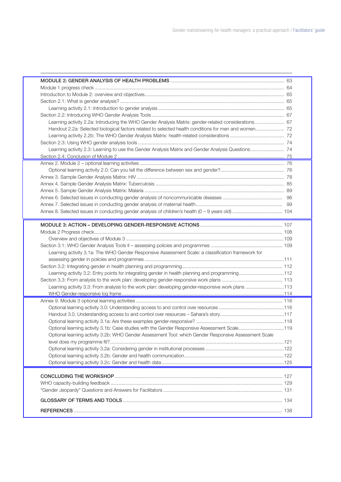| Learning activity 2.2a: Introducing the WHO Gender Analysis Matrix: gender-related considerations 67  |  |
|-------------------------------------------------------------------------------------------------------|--|
| Handout 2.2a: Selected biological factors related to selected health conditions for men and women 72  |  |
|                                                                                                       |  |
|                                                                                                       |  |
|                                                                                                       |  |
|                                                                                                       |  |
|                                                                                                       |  |
|                                                                                                       |  |
|                                                                                                       |  |
|                                                                                                       |  |
|                                                                                                       |  |
|                                                                                                       |  |
|                                                                                                       |  |
|                                                                                                       |  |
|                                                                                                       |  |
|                                                                                                       |  |
|                                                                                                       |  |
|                                                                                                       |  |
| Learning activity 3.1a: The WHO Gender Responsive Assessment Scale: a classification framework for    |  |
|                                                                                                       |  |
|                                                                                                       |  |
| Learning activity 3.2: Entry points for integrating gender in health planning and programming112      |  |
|                                                                                                       |  |
| Learning activity 3.3: From analysis to the work plan: developing gender-responsive work plans 113    |  |
|                                                                                                       |  |
|                                                                                                       |  |
|                                                                                                       |  |
|                                                                                                       |  |
|                                                                                                       |  |
| Optional learning activity 3.1b: Case studies with the Gender Responsive Assessment Scale119          |  |
| Optional learning activity 3.2b: WHO Gender Assessment Tool: which Gender Responsive Assessment Scale |  |
|                                                                                                       |  |
|                                                                                                       |  |
|                                                                                                       |  |
|                                                                                                       |  |
|                                                                                                       |  |
|                                                                                                       |  |
|                                                                                                       |  |
|                                                                                                       |  |
|                                                                                                       |  |
|                                                                                                       |  |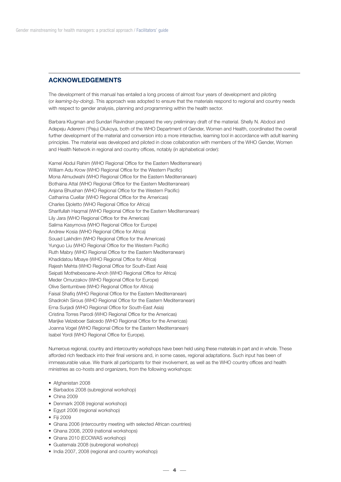# **ACKNOWLEDGEMENTS**

The development of this manual has entailed a long process of almost four years of development and piloting (or *learning-by-doing*). This approach was adopted to ensure that the materials respond to regional and country needs with respect to gender analysis, planning and programming within the health sector.

Barbara Klugman and Sundari Ravindran prepared the very preliminary draft of the material. Shelly N. Abdool and Adepeju Aderemi ('Peju) Olukoya, both of the WHO Department of Gender, Women and Health, coordinated the overall further development of the material and conversion into a more interactive, learning tool in accordance with adult learning principles. The material was developed and piloted in close collaboration with members of the WHO Gender, Women and Health Network in regional and country offices, notably (in alphabetical order):

Kamel Abdul Rahim (WHO Regional Office for the Eastern Mediterranean) William Adu Krow (WHO Regional Office for the Western Pacific) Mona Almudwahi (WHO Regional Office for the Eastern Mediterranean) Bothaina Attal (WHO Regional Office for the Eastern Mediterranean) Anjana Bhushan (WHO Regional Office for the Western Pacific) Catharina Cuellar (WHO Regional Office for the Americas) Charles Djoletto (WHO Regional Office for Africa) Sharifullah Haqmal (WHO Regional Office for the Eastern Mediterranean) Lily Jara (WHO Regional Office for the Americas) Salima Kasymova (WHO Regional Office for Europe) Andrew Kosia (WHO Regional Office for Africa) Souad Lakhdim (WHO Regional Office for the Americas) Yunguo Liu (WHO Regional Office for the Western Pacific) Ruth Mabry (WHO Regional Office for the Eastern Mediterranean) Khadidatou Mbaye (WHO Regional Office for Africa) Rajesh Mehta (WHO Regional Office for South-East Asia) Seipati Mothebesoane-Anoh (WHO Regional Office for Africa) Meder Omurzakov (WHO Regional Office for Europe) Olive Sentumbwe (WHO Regional Office for Africa) Faisal Shafiq (WHO Regional Office for the Eastern Mediterranean) Shadrokh Sirous (WHO Regional Office for the Eastern Mediterranean) Erna Surjadi (WHO Regional Office for South-East Asia) Cristina Torres Parodi (WHO Regional Office for the Americas) Marijke Velzeboer Salcedo (WHO Regional Office for the Americas) Joanna Vogel (WHO Regional Office for the Eastern Mediterranean) Isabel Yordi (WHO Regional Office for Europe).

Numerous regional, country and intercountry workshops have been held using these materials in part and in whole. These afforded rich feedback into their final versions and, in some cases, regional adaptations. Such input has been of immeasurable value. We thank all participants for their involvement, as well as the WHO country offices and health ministries as co-hosts and organizers, from the following workshops:

- Afghanistan 2008
- Barbados 2008 (subregional workshop)
- China 2009
- Denmark 2008 (regional workshop)
- Egypt 2006 (regional workshop)
- Fiii 2009
- Ghana 2006 (intercountry meeting with selected African countries)
- Ghana 2008, 2009 (national workshops)
- Ghana 2010 (ECOWAS workshop)
- Guatemala 2008 (subregional workshop)
- India 2007, 2008 (regional and country workshop)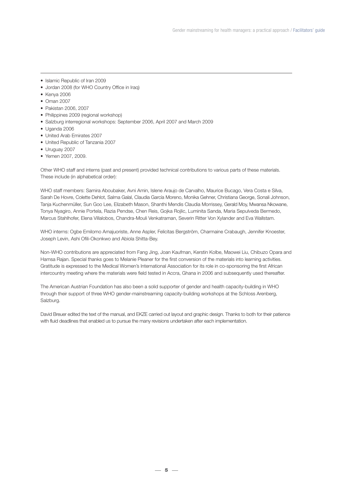- Islamic Republic of Iran 2009
- Jordan 2008 (for WHO Country Office in Iraq)
- Kenya 2006
- Oman 2007
- Pakistan 2006, 2007
- Philippines 2009 (regional workshop)
- Salzburg interregional workshops: September 2006, April 2007 and March 2009
- Uganda 2006
- United Arab Emirates 2007
- United Republic of Tanzania 2007
- Uruguay 2007
- Yemen 2007, 2009.

Other WHO staff and interns (past and present) provided technical contributions to various parts of these materials. These include (in alphabetical order):

WHO staff members: Samira Aboubaker, Avni Amin, Islene Araujo de Carvalho, Maurice Bucago, Vera Costa e Silva, Sarah De Hovre, Colette Dehlot, Salma Galal, Claudia García Moreno, Monika Gehner, Christiana George, Sonali Johnson, Tanja Kuchenmüller, Sun Goo Lee, Elizabeth Mason, Shanthi Mendis Claudia Morrissey, Gerald Moy, Mwansa Nkowane, Tonya Nyagiro, Annie Portela, Razia Pendse, Chen Reis, Gojka Rojlic, Luminita Sanda, Maria Sepulveda Bermedo, Marcus Stahlhofer, Elena Villalobos, Chandra-Mouli Venkatraman, Severin Ritter Von Xylander and Eva Wallstam.

WHO interns: Ogbe Emilomo Amajuoriste, Anne Aspler, Felicitas Bergström, Charmaine Crabaugh, Jennifer Knoester, Joseph Levin, Ashi Ofili-Okonkwo and Abiola Shitta-Bey.

Non-WHO contributions are appreciated from Fang Jing, Joan Kaufman, Kerstin Kolbe, Maowei Liu, Chibuzo Opara and Hamsa Rajan. Special thanks goes to Melanie Pleaner for the first conversion of the materials into learning activities. Gratitude is expressed to the Medical Women's International Association for its role in co-sponsoring the first African intercountry meeting where the materials were field tested in Accra, Ghana in 2006 and subsequently used thereafter.

The American Austrian Foundation has also been a solid supporter of gender and health capacity-building in WHO through their support of three WHO gender-mainstreaming capacity-building workshops at the Schloss Arenberg, Salzburg.

David Breuer edited the text of the manual, and EKZE carried out layout and graphic design. Thanks to both for their patience with fluid deadlines that enabled us to pursue the many revisions undertaken after each implementation.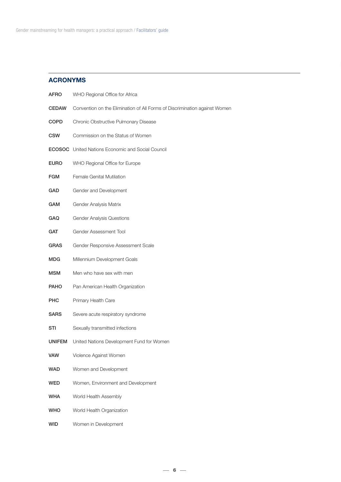# **ACRONYMS**

| AFRO          | WHO Regional Office for Africa                                             |
|---------------|----------------------------------------------------------------------------|
| <b>CEDAW</b>  | Convention on the Elimination of All Forms of Discrimination against Women |
| COPD          | Chronic Obstructive Pulmonary Disease                                      |
| <b>CSW</b>    | Commission on the Status of Women                                          |
|               | <b>ECOSOC</b> United Nations Economic and Social Council                   |
| <b>EURO</b>   | WHO Regional Office for Europe                                             |
| <b>FGM</b>    | Female Genital Mutilation                                                  |
| GAD           | Gender and Development                                                     |
| <b>GAM</b>    | Gender Analysis Matrix                                                     |
| GAQ           | <b>Gender Analysis Questions</b>                                           |
| <b>GAT</b>    | Gender Assessment Tool                                                     |
| <b>GRAS</b>   | Gender Responsive Assessment Scale                                         |
| MDG           | Millennium Development Goals                                               |
| MSM           | Men who have sex with men                                                  |
| <b>PAHO</b>   | Pan American Health Organization                                           |
| PHC           | Primary Health Care                                                        |
| <b>SARS</b>   | Severe acute respiratory syndrome                                          |
| STI           | Sexually transmitted infections                                            |
| <b>UNIFEM</b> | United Nations Development Fund for Women                                  |
| <b>VAW</b>    | Violence Against Women                                                     |
| <b>WAD</b>    | Women and Development                                                      |
| <b>WED</b>    | Women, Environment and Development                                         |
| <b>WHA</b>    | World Health Assembly                                                      |
| <b>WHO</b>    | World Health Organization                                                  |
| <b>WID</b>    | Women in Development                                                       |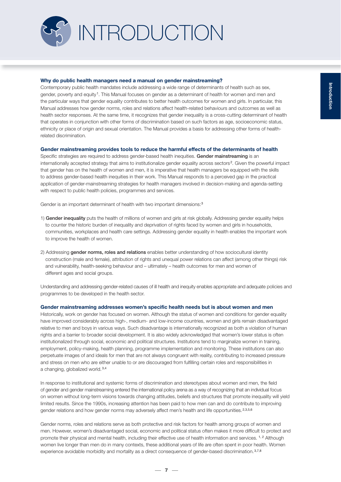

#### **Why do public health managers need a manual on gender mainstreaming?**

Contemporary public health mandates include addressing a wide range of determinants of health such as sex, gender, poverty and equity <sup>1</sup>. This Manual focuses on gender as a determinant of health for women and men and the particular ways that gender equality contributes to better health outcomes for women and girls. In particular, this Manual addresses how gender norms, roles and relations affect health-related behaviours and outcomes as well as health sector responses. At the same time, it recognizes that gender inequality is a cross-cutting determinant of health that operates in conjunction with other forms of discrimination based on such factors as age, socioeconomic status, ethnicity or place of origin and sexual orientation. The Manual provides a basis for addressing other forms of healthrelated discrimination.

#### **Gender mainstreaming provides tools to reduce the harmful effects of the determinants of health**

Specific strategies are required to address gender-based health inequities. **Gender mainstreaming** is an internationally accepted strategy that aims to institutionalize gender equality across sectors <sup>2</sup>. Given the powerful impact that gender has on the health of women and men, it is imperative that health managers be equipped with the skills to address gender-based health inequities in their work. This Manual responds to a perceived gap in the practical application of gender-mainstreaming strategies for health managers involved in decision-making and agenda-setting with respect to public health policies, programmes and services.

Gender is an important determinant of health with two important dimensions:<sup>3</sup>

- 1) **Gender inequality** puts the health of millions of women and girls at risk globally. Addressing gender equality helps to counter the historic burden of inequality and deprivation of rights faced by women and girls in households, communities, workplaces and health care settings. Addressing gender equality in health enables the important work to improve the health of women.
- 2) Addressing **gender norms, roles and relations** enables better understanding of how sociocultural identity construction (male and female), attribution of rights and unequal power relations can affect (among other things) risk and vulnerability, health-seeking behaviour and – ultimately – health outcomes for men and women of different ages and social groups.

Understanding and addressing gender-related causes of ill health and inequity enables appropriate and adequate policies and programmes to be developed in the health sector.

#### **Gender mainstreaming addresses women's specific health needs but is about women and men**

Historically, work on gender has focused on women. Although the status of women and conditions for gender equality have improved considerably across high-, medium- and low-income countries, women and girls remain disadvantaged relative to men and boys in various ways. Such disadvantage is internationally recognized as both a violation of human rights and a barrier to broader social development. It is also widely acknowledged that women's lower status is often institutionalized through social, economic and political structures. Institutions tend to marginalize women in training, employment, policy-making, health planning, programme implementation and monitoring. These institutions can also perpetuate images of and ideals for men that are not always congruent with reality, contributing to increased pressure and stress on men who are either unable to or are discouraged from fulfilling certain roles and responsibilities in a changing, globalized world. 3,4

In response to institutional and systemic forms of discrimination and stereotypes about women and men, the field of gender and gender mainstreaming entered the international policy arena as a way of recognizing that an individual focus on women without long-term visions towards changing attitudes, beliefs and structures that promote inequality will yield limited results. Since the 1990s, increasing attention has been paid to how men can and do contribute to improving gender relations and how gender norms may adversely affect men's health and life opportunities. 2,3,5,6

Gender norms, roles and relations serve as both protective and risk factors for health among groups of women and men. However, women's disadvantaged social, economic and political status often makes it more difficult to protect and promote their physical and mental health, including their effective use of health information and services. <sup>1, 2</sup> Although women live longer than men do in many contexts, these additional years of life are often spent in poor health. Women experience avoidable morbidity and mortality as a direct consequence of gender-based discrimination. 3,7,8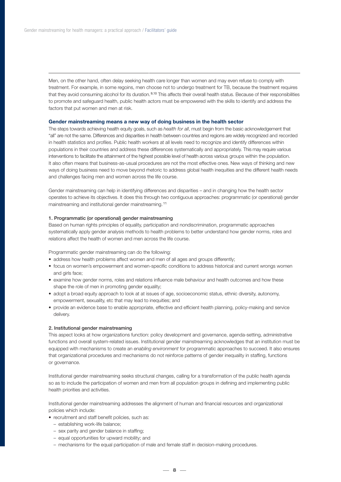Men, on the other hand, often delay seeking health care longer than women and may even refuse to comply with treatment. For example, in some regoins, men choose not to undergo treatment for TB, because the treatment requires that they avoid consuming alcohol for its duration.<sup>9,10</sup> This affects their overall health status. Because of their responsibilities to promote and safeguard health, public health actors must be empowered with the skills to identify and address the factors that put women and men at risk.

#### **Gender mainstreaming means a new way of doing business in the health sector**

The steps towards achieving health equity goals, such as *health for all*, must begin from the basic acknowledgement that "all" are not the same. Differences and disparities in health between countries and regions are widely recognized and recorded in health statistics and profiles. Public health workers at all levels need to recognize and identify differences within populations in their countries and address these differences systematically and appropriately. This may require various interventions to facilitate the attainment of the highest possible level of health across various groups within the population. It also often means that business-as-usual procedures are not the most effective ones. New ways of thinking and new ways of doing business need to move beyond rhetoric to address global health inequities and the different health needs and challenges facing men and women across the life course.

Gender mainstreaming can help in identifying differences and disparities – and in changing how the health sector operates to achieve its objectives. It does this through two contiguous approaches: programmatic (or operational) gender mainstreaming and institutional gender mainstreaming. <sup>11</sup>

#### **1. Programmatic (or operational) gender mainstreaming**

Based on human rights principles of equality, participation and nondiscrimination, programmatic approaches systematically apply gender analysis methods to health problems to better understand how gender norms, roles and relations affect the health of women and men across the life course.

Programmatic gender mainstreaming can do the following:

- address how health problems affect women and men of all ages and groups differently;
- focus on women's empowerment and women-specific conditions to address historical and current wrongs women and girls face;
- examine how gender norms, roles and relations influence male behaviour and health outcomes and how these shape the role of men in promoting gender equality;
- adopt a broad equity approach to look at at issues of age, socioeconomic status, ethnic diversity, autonomy, empowerment, sexuality, etc that may lead to inequities; and
- provide an evidence base to enable appropriate, effective and efficient health planning, policy-making and service delivery.

#### **2. Institutional gender mainstreaming**

This aspect looks at how organizations function: policy development and governance, agenda-setting, administrative functions and overall system-related issues. Institutional gender mainstreaming acknowledges that an institution must be equipped with mechanisms to create an *enabling environment* for programmatic approaches to succeed. It also ensures that organizational procedures and mechanisms do not reinforce patterns of gender inequality in staffing, functions or governance.

Institutional gender mainstreaming seeks structural changes, calling for a transformation of the public health agenda so as to include the participation of women and men from all population groups in defining and implementing public health priorities and activities.

Institutional gender mainstreaming addresses the alignment of human and financial resources and organizational policies which include:

- recruitment and staff benefit policies, such as:
	- establishing work-life balance;
	- sex parity and gender balance in staffing;
	- equal opportunities for upward mobility; and
	- mechanisms for the equal participation of male and female staff in decision-making procedures.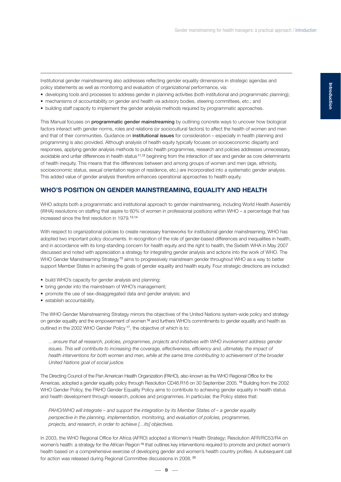Institutional gender mainstreaming also addresses reflecting gender equality dimensions in strategic agendas and policy statements as well as monitoring and evaluation of organizational performance, via:

- developing tools and processes to address gender in planning activities (both institutional and programmatic planning);
- mechanisms of accountability on gender and health via advisory bodies, steering committees, etc.; and
- building staff capacity to implement the gender analysis methods required by programmatic approaches.

This Manual focuses on **programmatic gender mainstreaming** by outlining concrete ways to uncover how biological factors interact with gender norms, roles and relations (or sociocultural factors) to affect the health of women and men and that of their communities. Guidance on **institutional issues** for consideration – especially in health planning and programming is also provided. Although analysis of health equity typically focuses on socioeconomic disparity and responses, applying gender analysis methods to public health programmes, research and policies addresses unnecessary, avoidable and unfair differences in health status<sup>11,12</sup> beginning from the interaction of sex and gender as core determinants of health inequity. This means that the differences between and among groups of women and men (age, ethnicity, socioeconomic status, sexual orientation region of residence, etc.) are incorporated into a systematic gender analysis. This added value of gender analysis therefore enhances operational approaches to health equity.

#### **WHO'S POSITION ON GENDER MAINSTREAMING, EQUALITY AND HEALTH**

WHO adopts both a programmatic and institutional approach to gender mainstreaming, including World Health Assembly (WHA) resolutions on staffing that aspire to 60% of women in professional positions within WHO – a percentage that has increased since the first resolution in 1979.13,14

With respect to organizational policies to create necessary frameworks for institutional gender mainstreaming, WHO has adopted two important policy documents. In recognition of the role of gender-based differences and inequalities in health, and in accordance with its long-standing concern for health equity and the right to health, the Sixtieth WHA in May 2007 discussed and noted with appreciation a strategy for integrating gender analysis and actions into the work of WHO. The WHO Gender Mainstreaming Strategy<sup>15</sup> aims to progressively mainstream gender throughout WHO as a way to better support Member States in achieving the goals of gender equality and health equity. Four strategic directions are included:

- build WHO's capacity for gender analysis and planning:
- bring gender into the mainstream of WHO's management;
- promote the use of sex-disaggregated data and gender analysis; and
- establish accountability.

The WHO Gender Mainstreaming Strategy mirrors the objectives of the United Nations system-wide policy and strategy on gender equality and the empowerment of women <sup>16</sup> and furthers WHO's commitments to gender equality and health as outlined in the 2002 WHO Gender Policy <sup>17</sup>, the objective of which is to:

*…ensure that all research, policies, programmes, projects and initiatives with WHO involvement address gender issues. This will contribute to increasing the coverage, effectiveness, efficiency and, ultimately, the impact of health interventions for both women and men, while at the same time contributing to achievement of the broader United Nations goal of social justice.*

The Directing Council of the Pan American Health Organization (PAHO), also known as the WHO Regional Office for the Americas, adopted a gender equality policy through Resolution CD46.R16 on 30 September 2005. <sup>18</sup> Building from the 2002 WHO Gender Policy, the PAHO Gender Equality Policy aims to contribute to achieving gender equality in health status and health development through research, policies and programmes. In particular, the Policy states that:

*PAHO/WHO will integrate – and support the integration by its Member States of – a gender equality perspective in the planning, implementation, monitoring, and evaluation of policies, programmes, projects, and research, in order to achieve […its] objectives.*

In 2003, the WHO Regional Office for Africa (AFRO) adopted a Women's Health Strategy; Resolution AFR/RC53/R4 on women's health: a strategy for the African Region <sup>19</sup> that outlines key interventions required to promote and protect women's health based on a comprehensive exercise of developing gender and women's health country profiles. A subsequent call for action was released during Regional Committee discussions in 2008. <sup>20</sup>

 $-9 -$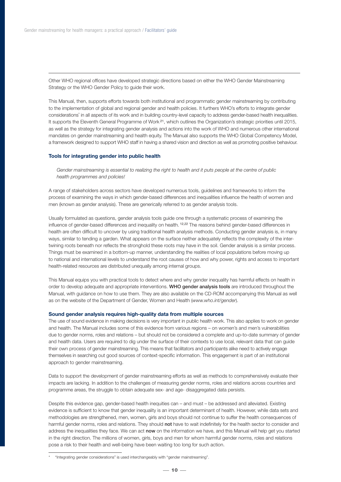Other WHO regional offices have developed strategic directions based on either the WHO Gender Mainstreaming Strategy or the WHO Gender Policy to guide their work.

This Manual, then, supports efforts towards both institutional and programmatic gender mainstreaming by contributing to the implementation of global and regional gender and health policies. It furthers WHO's efforts to integrate gender considerations\* in all aspects of its work and in building country-level capacity to address gender-based health inequalities. It supports the Eleventh General Programme of Work <sup>21</sup>, which outlines the Organization's strategic priorities until 2015, as well as the strategy for integrating gender analysis and actions into the work of WHO and numerous other international mandates on gender mainstreaming and health equity. The Manual also supports the WHO Global Competency Model, a framework designed to support WHO staff in having a shared vision and direction as well as promoting positive behaviour.

#### **Tools for integrating gender into public health**

*Gender mainstreaming is essential to realizing the right to health and it puts people at the centre of public health programmes and policies!*

A range of stakeholders across sectors have developed numerous tools, guidelines and frameworks to inform the process of examining the ways in which gender-based differences and inequalities influence the health of women and men (known as gender analysis). These are generically referred to as gender analysis tools.

Usually formulated as questions, gender analysis tools guide one through a systematic process of examining the influence of gender-based differences and inequality on health. 12,22 The reasons behind gender-based differences in health are often difficult to uncover by using traditional health analysis methods. Conducting gender analysis is, in many ways, similar to tending a garden. What appears on the surface neither adequately reflects the complexity of the intertwining roots beneath nor reflects the stronghold these roots may have in the soil. Gender analysis is a similar process. Things must be examined in a bottom-up manner, understanding the realities of local populations before moving up to national and international levels to understand the root causes of how and why power, rights and access to important health-related resources are distributed unequally among internal groups.

This Manual equips you with practical tools to detect where and why gender inequality has harmful effects on health in order to develop adequate and appropriate interventions. **WHO gender analysis tools** are introduced throughout the Manual, with guidance on how to use them. They are also available on the CD-ROM accompanying this Manual as well as on the website of the Department of Gender, Women and Health (*www.who.int/gender*).

#### **Sound gender analysis requires high-quality data from multiple sources**

The use of sound evidence in making decisions is very important in public health work. This also applies to work on gender and health. The Manual includes some of this evidence from various regions – on women's and men's vulnerabilities due to gender norms, roles and relations – but should not be considered a complete and up-to-date summary of gender and health data. Users are required to dig under the surface of their contexts to use local, relevant data that can guide their own process of gender mainstreaming. This means that facilitators and participants alike need to actively engage themselves in searching out good sources of context-specific information. This engagement is part of an institutional approach to gender mainstreaming.

Data to support the development of gender mainstreaming efforts as well as methods to comprehensively evaluate their impacts are lacking. In addition to the challenges of measuring gender norms, roles and relations across countries and programme areas, the struggle to obtain adequate sex- and age- disaggregated data persists.

Despite this evidence gap, gender-based health inequities can – and must – be addressed and alleviated. Existing evidence is sufficient to know that gender inequality is an important determinant of health. However, while data sets and methodologies are strengthened, men, women, girls and boys should not continue to suffer the health consequences of harmful gender norms, roles and relations. They should **not** have to wait indefinitely for the health sector to consider and address the inequalities they face. We can act **now** on the information we have, and this Manual will help get you started in the right direction. The millions of women, girls, boys and men for whom harmful gender norms, roles and relations pose a risk to their health and well-being have been waiting too long for such action.

<sup>\* &</sup>quot;Integrating gender considerations" is used interchangeably with "gender mainstreaming".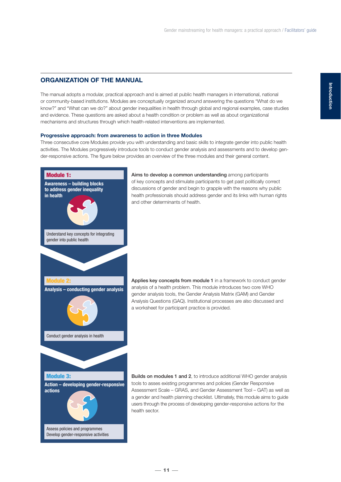# **ORGANIZATION OF THE MANUAL**

The manual adopts a modular, practical approach and is aimed at public health managers in international, national or community-based institutions. Modules are conceptually organized around answering the questions "What do we know?" and "What can we do?" about gender inequalities in health through global and regional examples, case studies and evidence. These questions are asked about a health condition or problem as well as about organizational mechanisms and structures through which health-related interventions are implemented.

#### **Progressive approach: from awareness to action in three Modules**

Three consecutive core Modules provide you with understanding and basic skills to integrate gender into public health activities. The Modules progressively introduce tools to conduct gender analysis and assessments and to develop gender-responsive actions. The figure below provides an overview of the three modules and their general content.



**Aims to develop a common understanding** among participants of key concepts and stimulate participants to get past politically correct discussions of gender and begin to grapple with the reasons why public health professionals should address gender and its links with human rights and other determinants of health.

Applies key concepts from module 1 in a framework to conduct gender analysis of a health problem. This module introduces two core WHO gender analysis tools, the Gender Analysis Matrix (GAM) and Gender Analysis Questions (GAQ). Institutional processes are also discussed and a worksheet for participant practice is provided.

**Builds on modules 1 and 2**, to introduce additional WHO gender analysis tools to asses existing programmes and policies (Gender Responsive Assessment Scale – GRAS, and Gender Assessment Tool – GAT) as well as a gender and health planning checklist. Ultimately, this module aims to guide users through the process of developing gender-responsive actions for the health sector.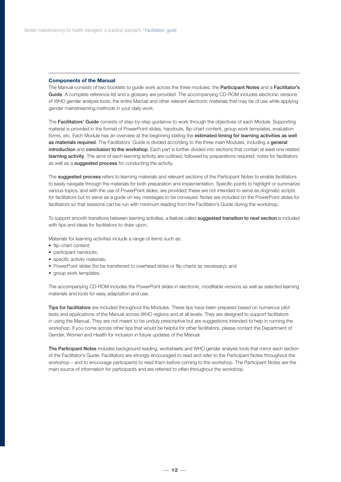#### **Components of the Manual**

The Manual consists of two booklets to guide work across the three modules: the **Participant Notes** and a **Facilitator's Guide**. A complete reference list and a glossary are provided. The accompanying CD-ROM includes electronic versions of WHO gender analysis tools, the entire Manual and other relevant electronic materials that may be of use while applying gender mainstreaming methods in your daily work.

The **Facilitators' Guide** consists of step-by-step guidance to work through the objectives of each Module. Supporting material is provided in the format of PowerPoint slides, handouts, flip-chart content, group work templates, evaluation forms, etc. Each Module has an overview at the beginning stating the **estimated timing for learning activities as well as materials required**. The Facilitators' Guide is divided according to the three main Modules, including a **general introduction** and **conclusion to the workshop**. Each part is further divided into sections that contain at least one related **learning activity**. The aims of each learning activity are outlined, followed by preparations required, notes for facilitators as well as a **suggested process** for conducting the activity.

The **suggested process** refers to learning materials and relevant sections of the Participant Notes to enable facilitators to easily navigate through the materials for both preparation and implementation. Specific points to highlight or summarize various topics, and with the use of PowerPoint slides, are provided; these are not intended to serve as dogmatic scripts for facilitators but to serve as a guide on key messages to be conveyed. Notes are included on the PowerPoint slides for facilitators so that sessions can be run with minimum reading from the Facilitator's Guide during the workshop.

To support smooth transitions between learning activities, a feature called **suggested transition to next section** is included with tips and ideas for facilitators to draw upon.

Materials for learning activities include a range of items such as:

- flip-chart content;
- participant handouts;
- specific activity materials;
- PowerPoint slides (for be transferred to overhead slides or flip charts as necessary); and
- group work templates.

The accompanying CD-ROM includes the PowerPoint slides in electronic, modifiable versions as well as selected learning materials and tools for easy adaptation and use.

**Tips for facilitators** are included throughout the Modules. These tips have been prepared based on numerous pilot tests and applications of the Manual across WHO regions and at all levels. They are designed to support facilitators in using the Manual. They are not meant to be unduly prescriptive but are suggestions intended to help in running the workshop. If you come across other tips that would be helpful for other facilitators, please contact the Department of Gender, Women and Health for inclusion in future updates of the Manual.

**The Participant Notes** includes background reading, worksheets and WHO gender analysis tools that mirror each section of the Facilitator's Guide. Facilitators are strongly encouraged to read and refer to the Participant Notes throughout the workshop – and to encourage participants to read them before coming to the workshop. The Participant Notes are the main source of information for participants and are referred to often throughout the workshop.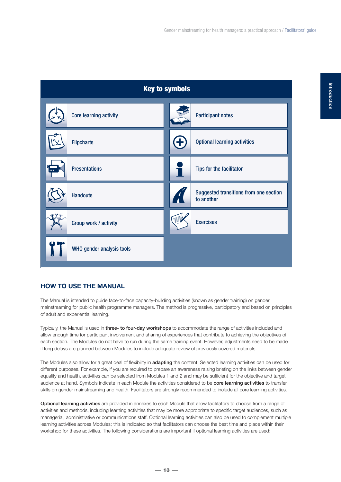

# **HOW TO USE THE MANUAL**

The Manual is intended to guide face-to-face capacity-building activities (known as gender training) on gender mainstreaming for public health programme managers. The method is progressive, participatory and based on principles of adult and experiential learning.

Typically, the Manual is used in **three- to four-day workshops** to accommodate the range of activities included and allow enough time for participant involvement and sharing of experiences that contribute to achieving the objectives of each section. The Modules do not have to run during the same training event. However, adjustments need to be made if long delays are planned between Modules to include adequate review of previously covered materials.

The Modules also allow for a great deal of flexibility in **adapting** the content. Selected learning activities can be used for different purposes. For example, if you are required to prepare an awareness raising briefing on the links between gender equality and health, activities can be selected from Modules 1 and 2 and may be sufficient for the objective and target audience at hand. Symbols indicate in each Module the activities considered to be **core learning activities** to transfer skills on gender mainstreaming and health. Facilitators are strongly recommended to include all core learning activities.

**Optional learning activities** are provided in annexes to each Module that allow facilitators to choose from a range of activities and methods, including learning activities that may be more appropriate to specific target audiences, such as managerial, administrative or communications staff. Optional learning activities can also be used to complement multiple learning activities across Modules; this is indicated so that facilitators can choose the best time and place within their workshop for these activities. The following considerations are important if optional learning activities are used: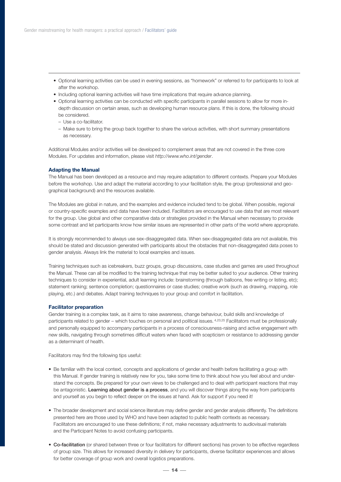- Optional learning activities can be used in evening sessions, as "homework" or referred to for participants to look at after the workshop.
- Including optional learning activities will have time implications that require advance planning.
- Optional learning activities can be conducted with specific participants in parallel sessions to allow for more indepth discussion on certain areas, such as developing human resource plans. If this is done, the following should be considered.
	- Use a co-facilitator.
	- Make sure to bring the group back together to share the various activities, with short summary presentations as necessary.

Additional Modules and/or activities will be developed to complement areas that are not covered in the three core Modules. For updates and information, please visit *http://www.who.int/gender*.

#### **Adapting the Manual**

The Manual has been developed as a resource and may require adaptation to different contexts. Prepare your Modules before the workshop. Use and adapt the material according to your facilitation style, the group (professional and geographical background) and the resources available.

The Modules are global in nature, and the examples and evidence included tend to be global. When possible, regional or country-specific examples and data have been included. Facilitators are encouraged to use data that are most relevant for the group. Use global and other comparative data or strategies provided in the Manual when necessary to provide some contrast and let participants know how similar issues are represented in other parts of the world where appropriate.

It is strongly recommended to always use sex-disaggregated data. When sex-disaggregated data are not available, this should be stated and discussion generated with participants about the obstacles that non-disaggregated data poses to gender analysis. Always link the material to local examples and issues.

Training techniques such as icebreakers, buzz groups, group discussions, case studies and games are used throughout the Manual. These can all be modified to the training technique that may be better suited to your audience. Other training techniques to consider in experiential, adult learning include: brainstorming (through balloons, free writing or listing, etc); statement ranking; sentence completion; questionnaires or case studies; creative work (such as drawing, mapping, role playing, etc.) and debates. Adapt training techniques to your group and comfort in facilitation.

#### **Facilitator preparation**

Gender training is a complex task, as it aims to raise awareness, change behaviour, build skills and knowledge of participants related to gender – which touches on personal and political issues. 4,23,25 Facilitators must be professionally and personally equipped to accompany participants in a process of consciousness-raising and active engagement with new skills, navigating through sometimes difficult waters when faced with scepticism or resistance to addressing gender as a determinant of health.

Facilitators may find the following tips useful:

- Be familiar with the local context, concepts and applications of gender and health before facilitating a group with this Manual. If gender training is relatively new for you, take some time to think about how you feel about and understand the concepts. Be prepared for your own views to be challenged and to deal with participant reactions that may be antagonistic. **Learning about gender is a process**, and you will discover things along the way from participants and yourself as you begin to reflect deeper on the issues at hand. Ask for support if you need it!
- The broader development and social science literature may define gender and gender analysis differently. The definitions presented here are those used by WHO and have been adapted to public health contexts as necessary. Facilitators are encouraged to use these definitions; if not, make necessary adjustments to audiovisual materials and the Participant Notes to avoid confusing participants.
- **Co-facilitation** (or shared between three or four facilitators for different sections) has proven to be effective regardless of group size. This allows for increased diversity in delivery for participants, diverse facilitator experiences and allows for better coverage of group work and overall logistics preparations.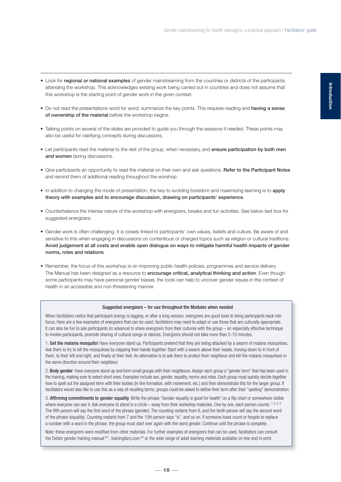- Look for **regional or national examples** of gender mainstreaming from the countries or districts of the participants attending the workshop. This acknowledges existing work being carried out in countries and does not assume that this workshop is the starting point of gender work in the given context.
- Do not read the presentations word for word; summarize the key points. This requires reading and **having a sense of ownership of the material** before the workshop begins.
- Talking points on several of the slides are provided to guide you through the sessions if needed. These points may also be useful for clarifying concepts during discussions.
- Let participants read the material to the rest of the group, when necessary, and **ensure participation by both men and women** during discussions.
- Give participants an opportunity to read the material on their own and ask questions. **Refer to the Participant Notes** and remind them of additional reading throughout the worshop.
- In addition to changing the mode of presentation, the key to avoiding boredom and maximizing learning is to **apply theory with examples and to encourage discussion, drawing on participants' experience**.
- Counterbalance the intense nature of the workshop with energizers, breaks and fun activities. See below text box for suggested energizers.
- Gender work is often challenging. It is closely linked to participants' own values, beliefs and culture. Be aware of and sensitive to this when engaging in discussions on contentious or charged topics such as religion or cultural traditions. **Avoid judgement at all costs and enable open dialogue on ways to mitigate harmful health impacts of gender norms, roles and relations**.
- Remember, the focus of this workshop is on improving public health policies, programmes and service delivery. The Manual has been designed as a resource to **encourage critical, analytical thinking and action**. Even though some participants may have personal gender biases, the tools can help to uncover gender issues in the context of health in an accessible and non-threatening manner.

#### Suggested energizers – for use throughout the Modules when needed

When facilitators notice that participant energy is lagging, or after a long session, energizers are good tools to bring participants back into focus. Here are a few examples of energizers that can be used; facilitators may need to adapt or use those that are culturally appropriate. It can also be fun to ask participants (in advance) to share energizers from their cultures with the group – an especially effective technique to involve participants, promote sharing of cultural songs or dances. Energizers should not take more than 5-10 minutes.

1. Get the malaria mosquito! Have everyone stand up. Participants pretend that they are being attacked by a swarm of malaria mosquitoes. Ask them to try to kill the mosquitoes by clapping their hands together. Start with a swarm above their heads, moving down to in front of them, to their left and right, and finally at their feet. An alternative is to ask them to protect their neighbour and kill the malaria mosquitoes in the same direction around their neighbour.

2. Body gender. Have everyone stand up and form small groups with their neighbours. Assign each group a "gender term" that has been used in the training, making sure to select short ones. Examples include sex, gender, equality, norms and roles. Each group must quickly decide together how to spell out the assigned term with their bodies (in line formation, with movement, etc.) and then demonstrate this for the larger group. If facilitators would also like to use this as a way of recalling terms, groups could be asked to define their term after their "spelling" demonstration.

3. Affirming commitments to gender equality. Write the phrase "Gender equality is good for health" on a flip chart or somewhere visible where everyone can see it. Ask everyone to stand in a circle – away from their workshop materials. One by one, each person counts.  $1.2, 3.4$ The fifth person will say the first word of the phrase (gender). The counting restarts from 6, and the tenth person will say the second word of the phrase (equality). Counting restarts from 7 and the 15th person says "is", and so on. If someone loses count or forgets to replace a number with a word in the phrase, the group must start over again with the word gender. Continue until the phrase is complete.

Note: these energizers were modified from other materials. For further examples of energizers that can be used, facilitators can consult the Oxfam gender training manual  $^{23}$ , trainingfairy.com  $^{24}$  or the wide range of adult learning materials available on-line and in-print.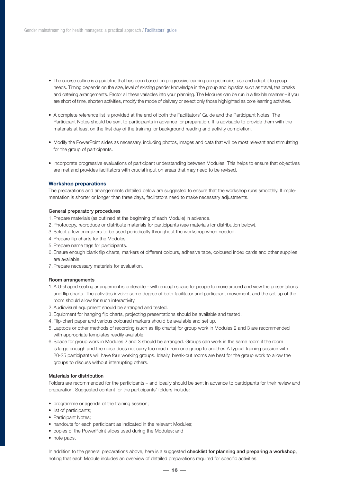- The course outline is a guideline that has been based on progressive learning competencies; use and adapt it to group needs. Timing depends on the size, level of existing gender knowledge in the group and logistics such as travel, tea breaks and catering arrangements. Factor all these variables into your planning. The Modules can be run in a flexible manner – if you are short of time, shorten activities, modify the mode of delivery or select only those highlighted as core learning activities.
- A complete reference list is provided at the end of both the Facilitators' Guide and the Participant Notes. The Participant Notes should be sent to participants in advance for preparation. It is advisable to provide them with the materials at least on the first day of the training for background reading and activity completion.
- Modify the PowerPoint slides as necessary, including photos, images and data that will be most relevant and stimulating for the group of participants.
- Incorporate progressive evaluations of participant understanding between Modules. This helps to ensure that objectives are met and provides facilitators with crucial input on areas that may need to be revised.

#### **Workshop preparations**

The preparations and arrangements detailed below are suggested to ensure that the workshop runs smoothly. If implementation is shorter or longer than three days, facilitators need to make necessary adjustments.

#### **General preparatory procedures**

- 1. Prepare materials (as outlined at the beginning of each Module) in advance.
- 2. Photocopy, reproduce or distribute materials for participants (see materials for distribution below).
- 3. Select a few energizers to be used periodically throughout the workshop when needed.
- 4. Prepare flip charts for the Modules.
- 5. Prepare name tags for participants.
- 6. Ensure enough blank flip charts, markers of different colours, adhesive tape, coloured index cards and other supplies are available.
- 7. Prepare necessary materials for evaluation.

#### **Room arrangements**

- 1. A U-shaped seating arrangement is preferable with enough space for people to move around and view the presentations and flip charts. The activities involve some degree of both facilitator and participant movement, and the set-up of the room should allow for such interactivity.
- 2. Audiovisual equipment should be arranged and tested.
- 3. Equipment for hanging flip charts, projecting presentations should be available and tested.
- 4. Flip-chart paper and various coloured markers should be available and set up.
- 5. Laptops or other methods of recording (such as flip charts) for group work in Modules 2 and 3 are recommended with appropriate templates readily available.
- 6. Space for group work in Modules 2 and 3 should be arranged. Groups can work in the same room if the room is large enough and the noise does not carry too much from one group to another. A typical training session with 20-25 participants will have four working groups. Ideally, break-out rooms are best for the group work to allow the groups to discuss without interrupting others.

#### **Materials for distribution**

Folders are recommended for the participants – and ideally should be sent in advance to participants for their review and preparation. Suggested content for the participants' folders include:

- programme or agenda of the training session;
- list of participants;
- Participant Notes:
- handouts for each participant as indicated in the relevant Modules:
- copies of the PowerPoint slides used during the Modules; and
- note pads.

In addition to the general preparations above, here is a suggested **checklist for planning and preparing a workshop**, noting that each Module includes an overview of detailed preparations required for specific activities.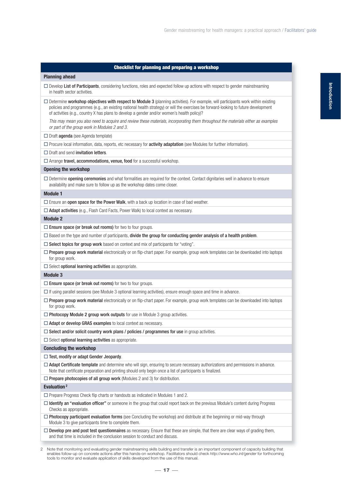| <b>Checklist for planning and preparing a workshop</b>                                                                                                                                                                                                                                                                                                                         |
|--------------------------------------------------------------------------------------------------------------------------------------------------------------------------------------------------------------------------------------------------------------------------------------------------------------------------------------------------------------------------------|
| <b>Planning ahead</b>                                                                                                                                                                                                                                                                                                                                                          |
| $\Box$ Develop List of Participants, considering functions, roles and expected follow up actions with respect to gender mainstreaming<br>in health sector activities.                                                                                                                                                                                                          |
| $\Box$ Determine workshop objectives with respect to Module 3 (planning activities). For example, will participants work within existing<br>policies and programmes (e.g., an existing national health strategy) or will the exercises be forward-looking to future development<br>of activities (e.g., country X has plans to develop a gender and/or women's health policy)? |
| This may mean you also need to acquire and review these materials, incorporating them throughout the materials either as examples<br>or part of the group work in Modules 2 and 3.                                                                                                                                                                                             |
| $\Box$ Draft <b>agenda</b> (see Agenda template)                                                                                                                                                                                                                                                                                                                               |
| $\Box$ Procure local information, data, reports, etc necessary for <b>activity adaptation</b> (see Modules for further information).                                                                                                                                                                                                                                           |
| $\Box$ Draft and send <b>invitation letters</b> .                                                                                                                                                                                                                                                                                                                              |
| $\Box$ Arrange travel, accommodations, venue, food for a successful workshop.                                                                                                                                                                                                                                                                                                  |
| <b>Opening the workshop</b>                                                                                                                                                                                                                                                                                                                                                    |
| $\Box$ Determine opening ceremonies and what formalities are required for the context. Contact dignitaries well in advance to ensure<br>availability and make sure to follow up as the workshop dates come closer.                                                                                                                                                             |
| <b>Module 1</b>                                                                                                                                                                                                                                                                                                                                                                |
| $\Box$ Ensure an <b>open space for the Power Walk</b> , with a back up location in case of bad weather.                                                                                                                                                                                                                                                                        |
| $\Box$ Adapt activities (e.g., Flash Card Facts, Power Walk) to local context as necessary.                                                                                                                                                                                                                                                                                    |
| <b>Module 2</b>                                                                                                                                                                                                                                                                                                                                                                |
| $\Box$ Ensure space (or break out rooms) for two to four groups.                                                                                                                                                                                                                                                                                                               |
| $\Box$ Based on the type and number of participants, <b>divide the group for conducting gender analysis of a health problem</b> .                                                                                                                                                                                                                                              |
| $\Box$ Select topics for group work based on context and mix of participants for "voting".                                                                                                                                                                                                                                                                                     |
| $\Box$ <b>Prepare group work material</b> electronically or on flip-chart paper. For example, group work templates can be downloaded into laptops<br>for group work.                                                                                                                                                                                                           |
| $\square$ Select optional learning activities as appropriate.                                                                                                                                                                                                                                                                                                                  |
| <b>Module 3</b>                                                                                                                                                                                                                                                                                                                                                                |
| $\Box$ Ensure space (or break out rooms) for two to four groups.                                                                                                                                                                                                                                                                                                               |
| $\Box$ If using parallel sessions (see Module 3 optional learning activities), ensure enough space and time in advance.                                                                                                                                                                                                                                                        |
| $\Box$ <b>Prepare group work material</b> electronically or on flip-chart paper. For example, group work templates can be downloaded into laptops<br>for group work.                                                                                                                                                                                                           |
| $\Box$ Photocopy Module 2 group work outputs for use in Module 3 group activities.                                                                                                                                                                                                                                                                                             |
| $\Box$ Adapt or develop GRAS examples to local context as necessary.                                                                                                                                                                                                                                                                                                           |
| $\Box$ Select and/or solicit country work plans / policies / programmes for use in group activities.                                                                                                                                                                                                                                                                           |
| $\square$ Select <b>optional learning activities</b> as appropriate.                                                                                                                                                                                                                                                                                                           |
| <b>Concluding the workshop</b>                                                                                                                                                                                                                                                                                                                                                 |
| $\Box$ Test, modify or adapt Gender Jeopardy.                                                                                                                                                                                                                                                                                                                                  |
| $\Box$ Adapt Certificate template and determine who will sign, ensuring to secure necessary authorizations and permissions in advance.<br>Note that certificate preparation and printing should only begin once a list of participants is finalized.                                                                                                                           |
| $\Box$ Prepare photocopies of all group work (Modules 2 and 3) for distribution.                                                                                                                                                                                                                                                                                               |
| Evaluation <sup>2</sup>                                                                                                                                                                                                                                                                                                                                                        |
| $\Box$ Prepare Progress Check flip charts or handouts as indicated in Modules 1 and 2.                                                                                                                                                                                                                                                                                         |
| □ Identify an "evaluation officer" or someone in the group that could report back on the previous Module's content during Progress<br>Checks as appropriate.                                                                                                                                                                                                                   |
| $\Box$ Photocopy participant evaluation forms (see Concluding the workshop) and distribute at the beginning or mid-way through<br>Module 3 to give participants time to complete them.                                                                                                                                                                                         |
| $\Box$ Develop pre and post test questionnaires as necessary. Ensure that these are simple, that there are clear ways of grading them,<br>and that time is included in the conclusion session to conduct and discuss.                                                                                                                                                          |

<sup>2</sup> Note that monitoring and evaluating gender mainstreaming skills building and transfer is an important component of capacity building that enables follow-up on concrete actions after this hands-on workshop. Facilitators should check *http://www.who.int/gender* for forthcoming tools to monitor and evaluate application of skills developed from the use of this manual.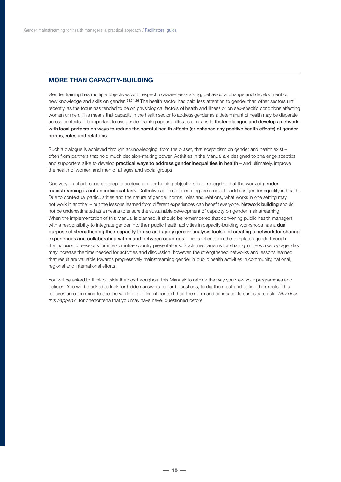# **MORE THAN CAPACITY-BUILDING**

Gender training has multiple objectives with respect to awareness-raising, behavioural change and development of new knowledge and skills on gender. 23,24,26 The health sector has paid less attention to gender than other sectors until recently, as the focus has tended to be on physiological factors of health and illness or on sex-specific conditions affecting women or men. This means that capacity in the health sector to address gender as a determinant of health may be disparate across contexts. It is important to use gender training opportunities as a means to **foster dialogue and develop a network with local partners on ways to reduce the harmful health effects (or enhance any positive health effects) of gender norms, roles and relations**.

Such a dialogue is achieved through acknowledging, from the outset, that scepticism on gender and health exist – often from partners that hold much decision-making power. Activities in the Manual are designed to challenge sceptics and supporters alike to develop **practical ways to address gender inequalities in health** – and ultimately, improve the health of women and men of all ages and social groups.

One very practical, concrete step to achieve gender training objectives is to recognize that the work of **gender mainstreaming is not an individual task**. Collective action and learning are crucial to address gender equality in health. Due to contextual particularities and the nature of gender norms, roles and relations, what works in one setting may not work in another – but the lessons learned from different experiences can benefit everyone. **Network building** should not be underestimated as a means to ensure the sustainable development of capacity on gender mainstreaming. When the implementation of this Manual is planned, it should be remembered that convening public health managers with a responsibility to integrate gender into their public health activities in capacity-building workshops has a **dual purpose** of **strengthening their capacity to use and apply gender analysis tools** and **creating a network for sharing experiences and collaborating within and between countries**. This is reflected in the template agenda through the inclusion of sessions for inter- or intra- country presentations. Such mechanisms for sharing in the workshop agendas may increase the time needed for activities and discussion; however, the strengthened networks and lessons learned that result are valuable towards progressively mainstreaming gender in public health activities in community, national, regional and international efforts.

You will be asked to think outside the box throughout this Manual: to rethink the way you view your programmes and policies. You will be asked to look for hidden answers to hard questions, to dig them out and to find their roots. This requires an open mind to see the world in a different context than the norm and an insatiable curiosity to ask "*Why does this happen?*" for phenomena that you may have never questioned before.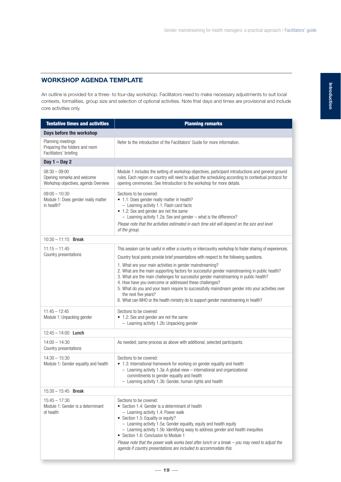# **WORKSHOP AGENDA TEMPLATE**

An outline is provided for a three- to four-day workshop. Facilitators need to make necessary adjustments to suit local contexts, formalities, group size and selection of optional activities. Note that days and times are provisional and include core activities only.

| <b>Tentative times and activities</b>                                                  | <b>Planning remarks</b>                                                                                                                                                                                                                                                                                                                                                                                                                                                                                                                                                                                                                                                                                                                      |
|----------------------------------------------------------------------------------------|----------------------------------------------------------------------------------------------------------------------------------------------------------------------------------------------------------------------------------------------------------------------------------------------------------------------------------------------------------------------------------------------------------------------------------------------------------------------------------------------------------------------------------------------------------------------------------------------------------------------------------------------------------------------------------------------------------------------------------------------|
| Days before the workshop                                                               |                                                                                                                                                                                                                                                                                                                                                                                                                                                                                                                                                                                                                                                                                                                                              |
| Planning meetings<br>Preparing the folders and room<br>Facilitators' briefing          | Refer to the introduction of the Facilitators' Guide for more information.                                                                                                                                                                                                                                                                                                                                                                                                                                                                                                                                                                                                                                                                   |
| Day $1 - Day 2$                                                                        |                                                                                                                                                                                                                                                                                                                                                                                                                                                                                                                                                                                                                                                                                                                                              |
| $08:30 - 09:00$<br>Opening remarks and welcome<br>Workshop objectives, agenda Overview | Module 1 includes the setting of workshop objectives, participant introductions and general ground<br>rules. Each region or country will need to adjust the scheduling according to contextual protocol for<br>opening ceremonies. See Introduction to the workshop for more details.                                                                                                                                                                                                                                                                                                                                                                                                                                                        |
| $09:00 - 10:30$<br>Module 1: Does gender really matter<br>in health?                   | Sections to be covered:<br>• 1.1: Does gender really matter in health?<br>- Learning activity 1.1: Flash card facts<br>• 1.2: Sex and gender are not the same<br>- Learning activity 1.2a: Sex and gender - what is the difference?<br>Please note that the activities estimated in each time slot will depend on the size and level<br>of the group.                                                                                                                                                                                                                                                                                                                                                                                        |
| $10:30 - 11:15$ Break                                                                  |                                                                                                                                                                                                                                                                                                                                                                                                                                                                                                                                                                                                                                                                                                                                              |
| $11:15 - 11:45$<br>Country presentations                                               | This session can be useful in either a country or intercountry workshop to foster sharing of experiences.<br>Country focal points provide brief presentations with respect to the following questions.<br>1. What are your main activities in gender mainstreaming?<br>2. What are the main supporting factors for successful gender mainstreaming in public health?<br>3. What are the main challenges for successful gender mainstreaming in public health?<br>4. How have you overcome or addressed these challenges?<br>5. What do you and your team require to successfully mainstream gender into your activities over<br>the next five years?<br>6. What can WHO or the health ministry do to support gender mainstreaming in health? |
| $11:45 - 12:45$<br>Module 1: Unpacking gender                                          | Sections to be covered:<br>• 1.2: Sex and gender are not the same<br>- Learning activity 1.2b: Unpacking gender                                                                                                                                                                                                                                                                                                                                                                                                                                                                                                                                                                                                                              |
| $12:45 - 14:00$ Lunch                                                                  |                                                                                                                                                                                                                                                                                                                                                                                                                                                                                                                                                                                                                                                                                                                                              |
| $14:00 - 14:30$<br>Country presentations                                               | As needed; same process as above with additional, selected participants.                                                                                                                                                                                                                                                                                                                                                                                                                                                                                                                                                                                                                                                                     |
| $14:30 - 15:30$<br>Module 1: Gender equality and health                                | Sections to be covered:<br>• 1.3: International framework for working on gender equality and health<br>- Learning activity 1.3a: A global view - international and organizational<br>commitments to gender equality and health<br>- Learning activity 1.3b: Gender, human rights and health                                                                                                                                                                                                                                                                                                                                                                                                                                                  |
| $15:30 - 15:45$ Break                                                                  |                                                                                                                                                                                                                                                                                                                                                                                                                                                                                                                                                                                                                                                                                                                                              |
| $15:45 - 17:30$<br>Module 1: Gender is a determinant<br>of health                      | Sections to be covered:<br>• Section 1.4: Gender is a determinant of health<br>- Learning activity 1.4: Power walk<br>• Section 1.5: Equality or equity?<br>- Learning activity 1.5a: Gender equality, equity and health equity<br>- Learning activity 1.5b: Identifying wasy to address gender and health inequities<br>• Section 1.6: Conclusion to Module 1<br>Please note that the power walk works best after lunch or a break - you may need to adjust the<br>agenda if country presentations are included to accommodate this.                                                                                                                                                                                                        |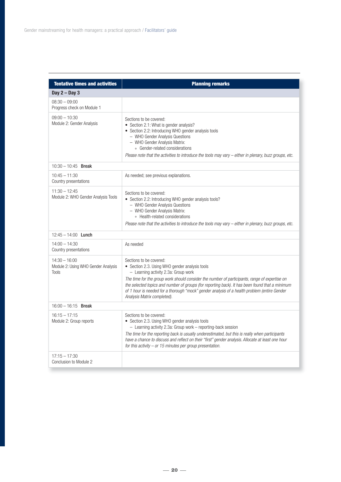| <b>Tentative times and activities</b>                                  | <b>Planning remarks</b>                                                                                                                                                                                                                                                                                                                                                                                                                              |
|------------------------------------------------------------------------|------------------------------------------------------------------------------------------------------------------------------------------------------------------------------------------------------------------------------------------------------------------------------------------------------------------------------------------------------------------------------------------------------------------------------------------------------|
| Day $2 - Day 3$                                                        |                                                                                                                                                                                                                                                                                                                                                                                                                                                      |
| $08:30 - 09:00$<br>Progress check on Module 1                          |                                                                                                                                                                                                                                                                                                                                                                                                                                                      |
| $09:00 - 10:30$<br>Module 2: Gender Analysis                           | Sections to be covered:<br>• Section 2.1: What is gender analysis?<br>• Section 2.2: Introducing WHO gender analysis tools<br>- WHO Gender Analysis Questions<br>- WHO Gender Analysis Matrix:<br>○ Gender-related considerations<br>Please note that the activities to introduce the tools may vary $-$ either in plenary, buzz groups, etc.                                                                                                        |
| $10:30 - 10:45$ Break                                                  |                                                                                                                                                                                                                                                                                                                                                                                                                                                      |
| $10:45 - 11:30$<br>Country presentations                               | As needed; see previous explanations.                                                                                                                                                                                                                                                                                                                                                                                                                |
| $11:30 - 12:45$<br>Module 2: WHO Gender Analysis Tools                 | Sections to be covered:<br>• Section 2.2: Introducing WHO gender analysis tools?<br>- WHO Gender Analysis Questions<br>- WHO Gender Analysis Matrix:<br>◦ Health-related considerations<br>Please note that the activities to introduce the tools may vary $-$ either in plenary, buzz groups, etc.                                                                                                                                                  |
| $12:45 - 14:00$ Lunch                                                  |                                                                                                                                                                                                                                                                                                                                                                                                                                                      |
| $14:00 - 14:30$<br>Country presentations                               | As needed                                                                                                                                                                                                                                                                                                                                                                                                                                            |
| $14:30 - 16:00$<br>Module 2: Using WHO Gender Analysis<br><b>Tools</b> | Sections to be covered:<br>• Section 2.3. Using WHO gender analysis tools<br>- Learning activity 2.3a: Group work<br>The time for the group work should consider the number of participants, range of expertise on<br>the selected topics and number of groups (for reporting back). It has been found that a minimum<br>of 1 hour is needed for a thorough "mock" gender analysis of a health problem (entire Gender<br>Analysis Matrix completed). |
| $16:00 - 16:15$ Break                                                  |                                                                                                                                                                                                                                                                                                                                                                                                                                                      |
| $16:15 - 17:15$<br>Module 2: Group reports                             | Sections to be covered:<br>• Section 2.3. Using WHO gender analysis tools<br>- Learning activity 2.3a: Group work - reporting-back session<br>The time for the reporting back is usually underestimated, but this is really when participants<br>have a chance to discuss and reflect on their "first" gender analysis. Allocate at least one hour<br>for this activity $-$ or 15 minutes per group presentation.                                    |
| $17:15 - 17:30$<br>Conclusion to Module 2                              |                                                                                                                                                                                                                                                                                                                                                                                                                                                      |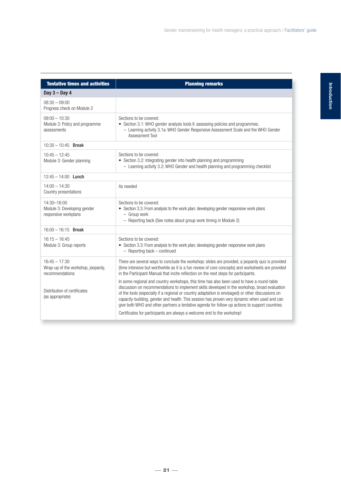| <b>Tentative times and activities</b>                                    | <b>Planning remarks</b>                                                                                                                                                                                                                                                                                                                                                                                                                                                                              |
|--------------------------------------------------------------------------|------------------------------------------------------------------------------------------------------------------------------------------------------------------------------------------------------------------------------------------------------------------------------------------------------------------------------------------------------------------------------------------------------------------------------------------------------------------------------------------------------|
| Day $3 - Day 4$                                                          |                                                                                                                                                                                                                                                                                                                                                                                                                                                                                                      |
| $08:30 - 09:00$<br>Progress check on Module 2                            |                                                                                                                                                                                                                                                                                                                                                                                                                                                                                                      |
| $09:00 - 10:30$<br>Module 3: Policy and programme<br>assessments         | Sections to be covered:<br>• Section 3.1: WHO gender analysis tools II: assessing policies and programmes.<br>- Learning activity 3.1a: WHO Gender Responsive Assessment Scale and the WHO Gender<br>Assessment Tool                                                                                                                                                                                                                                                                                 |
| $10:30 - 10:45$ Break                                                    |                                                                                                                                                                                                                                                                                                                                                                                                                                                                                                      |
| $10:45 - 12:45$<br>Module 3: Gender planning                             | Sections to be covered:<br>• Section 3.2: Integrating gender into health planning and programming<br>- Learning activity 3.2: WHO Gender and health planning and programming checklist                                                                                                                                                                                                                                                                                                               |
| $12:45 - 14:00$ Lunch                                                    |                                                                                                                                                                                                                                                                                                                                                                                                                                                                                                      |
| $14:00 - 14:30$<br>Country presentations                                 | As needed                                                                                                                                                                                                                                                                                                                                                                                                                                                                                            |
| 14:30-16:00<br>Module 3: Developing gender<br>responsive workplans       | Sections to be covered:<br>• Section 3.3: From analysis to the work plan: developing gender responsive work plans<br>- Group work<br>- Reporting back (See notes about group work timing in Module 2)                                                                                                                                                                                                                                                                                                |
| $16:00 - 16:15$ Break                                                    |                                                                                                                                                                                                                                                                                                                                                                                                                                                                                                      |
| $16:15 - 16:45$<br>Module 3: Group reports                               | Sections to be covered:<br>• Section 3.3: From analysis to the work plan: developing gender responsive work plans<br>- Reporting back - continued                                                                                                                                                                                                                                                                                                                                                    |
| $16:45 - 17:30$<br>Wrap-up of the workshop, jeopardy,<br>recommendations | There are several ways to conclude the workshop: slides are provided, a jeopardy quiz is provided<br>(time intensive but worthwhile as it is a fun review of core concepts) and worksheets are provided<br>in the Participant Manual that incite reflection on the next steps for participants.                                                                                                                                                                                                      |
| Distribution of certificates<br>(as appropriate)                         | In some regional and country workshops, this time has also been used to have a round-table<br>discussion on recommendations to implement skills developed in the workshop, broad evaluation<br>of the tools (especially if a regional or country adaptation is envisaged) or other discussions on<br>capacity-building, gender and health. This session has proven very dynamic when used and can<br>give both WHO and other partners a tentative agenda for follow-up actions to support countries. |
|                                                                          | Certificates for participants are always a welcome end to the workshop!                                                                                                                                                                                                                                                                                                                                                                                                                              |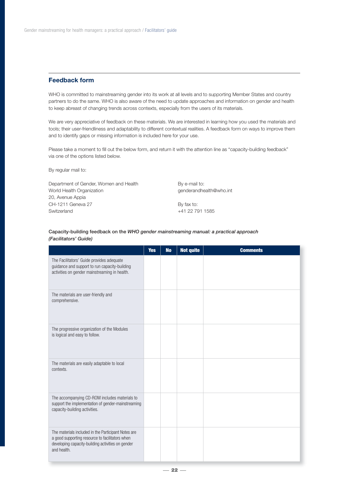# **Feedback form**

WHO is committed to mainstreaming gender into its work at all levels and to supporting Member States and country partners to do the same. WHO is also aware of the need to update approaches and information on gender and health to keep abreast of changing trends across contexts, especially from the users of its materials.

We are very appreciative of feedback on these materials. We are interested in learning how you used the materials and tools; their user-friendliness and adaptability to different contextual realities. A feedback form on ways to improve them and to identify gaps or missing information is included here for your use.

Please take a moment to fill out the below form, and return it with the attention line as "capacity-building feedback" via one of the options listed below.

By regular mail to:

Department of Gender, Women and Health World Health Organization 20, Avenue Appia CH-1211 Geneva 27 Switzerland

By e-mail to: genderandhealth@who.int

By fax to: +41 22 791 1585

#### **Capacity-building feedback on the** *WHO gender mainstreaming manual: a practical approach (Facilitators' Guide)*

|                                                                                                                                                                            | <b>Yes</b> | <b>No</b> | <b>Not quite</b> | <b>Comments</b> |
|----------------------------------------------------------------------------------------------------------------------------------------------------------------------------|------------|-----------|------------------|-----------------|
| The Facilitators' Guide provides adequate<br>guidance and support to run capacity-building<br>activities on gender mainstreaming in health.                                |            |           |                  |                 |
| The materials are user-friendly and<br>comprehensive.                                                                                                                      |            |           |                  |                 |
| The progressive organization of the Modules<br>is logical and easy to follow.                                                                                              |            |           |                  |                 |
| The materials are easily adaptable to local<br>contexts.                                                                                                                   |            |           |                  |                 |
| The accompanying CD-ROM includes materials to<br>support the implementation of gender-mainstreaming<br>capacity-building activities.                                       |            |           |                  |                 |
| The materials included in the Participant Notes are<br>a good supporting resource to facilitators when<br>developing capacity-building activities on gender<br>and health. |            |           |                  |                 |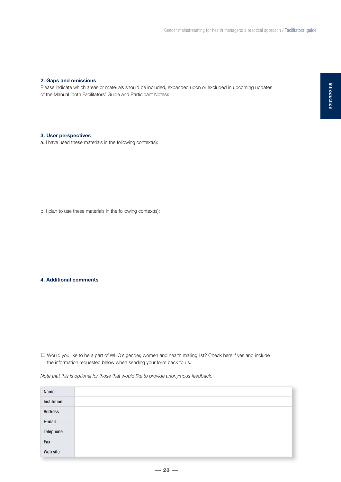#### **2. Gaps and omissions**

Please indicate which areas or materials should be included, expanded upon or excluded in upcoming updates of the Manual (both Facilitators' Guide and Participant Notes):

# **3. User perspectives**

a. I have used these materials in the following context(s):

b. I plan to use these materials in the following context(s):

#### **4. Additional comments**

- Would you like to be a part of WHO's gender, women and health mailing list? Check here if yes and include the information requested below when sending your form back to us.

*Note that this is optional for those that would like to provide anonymous feedback.*

| Name        |  |
|-------------|--|
| Institution |  |
| Address     |  |
| E-mail      |  |
| Telephone   |  |
| Fax         |  |
| Web site    |  |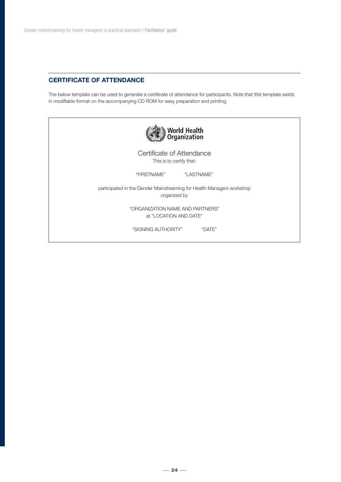# **CERTIFICATE OF ATTENDANCE**

The below template can be used to generate a certificate of attendance for participants. Note that this template exists in modifiable format on the accompanying CD ROM for easy preparation and printing.

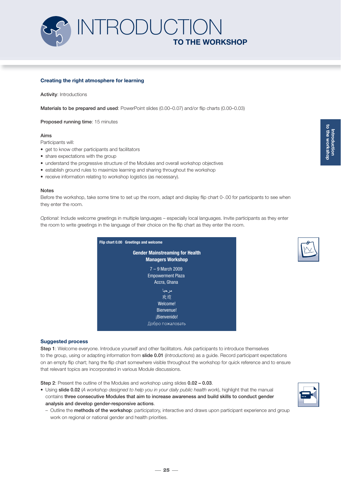

#### **Creating the right atmosphere for learning**

**Activity**: Introductions

**Materials to be prepared and used**: PowerPoint slides (0.00–0.07) and/or flip charts (0.00–0.03)

**Proposed running time**: 15 minutes

#### **Aims**

Participants will:

- get to know other participants and facilitators
- share expectations with the group
- understand the progressive structure of the Modules and overall workshop objectives
- establish ground rules to maximize learning and sharing throughout the workshop
- receive information relating to workshop logistics (as necessary).

#### **Notes**

Before the workshop, take some time to set up the room, adapt and display flip chart 0-.00 for participants to see when they enter the room.

*Optional*: Include welcome greetings in multiple languages – especially local languages. Invite participants as they enter the room to write greetings in the language of their choice on the flip chart as they enter the room.

| Flip chart 0.00 Greetings and welcome                              |
|--------------------------------------------------------------------|
| <b>Gender Mainstreaming for Health</b><br><b>Managers Workshop</b> |
| $7 - 9$ March 2009<br><b>Empowerment Plaza</b><br>Accra, Ghana     |
| مر حبا<br>欢迎<br>Welcome!                                           |
| Bienvenue!<br>¡Bienvenido!<br>пожаловать                           |



**Step 1**: Welcome everyone. Introduce yourself and other facilitators. Ask participants to introduce themselves to the group, using or adapting information from **slide 0.01** (*Introductions*) as a guide. Record participant expectations on an empty flip chart; hang the flip chart somewhere visible throughout the workshop for quick reference and to ensure that relevant topics are incorporated in various Module discussions.

**Step 2**: Present the outline of the Modules and workshop using slides **0.02 – 0.03**.

- Using **slide 0.02** (*A workshop designed to help you in your daily public health work*), highlight that the manual contains **three consecutive Modules that aim to increase awareness and build skills to conduct gender analysis and develop gender-responsive actions**.
	- Outline the **methods of the workshop**: participatory, interactive and draws upon participant experience and group work on regional or national gender and health priorities.

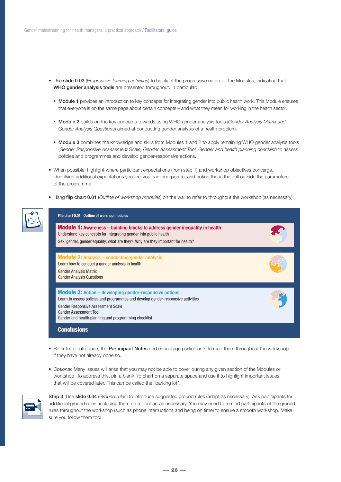- Use **slide 0.03** (*Progressive learning activities*) to highlight the progressive nature of the Modules, indicating that **WHO gender analysis tools** are presented throughout. In particular:
	- **Module 1** provides an introduction to key concepts for integrating gender into public health work. This Module ensures that everyone is on the same page about certain concepts – and what they mean for working in the health sector.
	- **Module 2** builds on the key concepts towards using WHO gender analysis tools (*Gender Analysis Matrix and Gender Analysis Questions*) aimed at conducting gender analysis of a health problem.
	- **Module 3** combines the knowledge and skills from Modules 1 and 2 to apply remaining WHO gender analysis tools (*Gender Responsive Assessment Scale, Gender Assessment Tool, Gender and health planning checklist*) to assess policies and programmes and develop gender-responsive actions.
- When possible, highlight where participant expectations (from step 1) and workshop objectives converge, identifying additional expectations you feel you can incorporate; and noting those that fall outside the parameters of the programme.
- Hang **flip chart 0.01** (*Outline of workshop modules*) on the wall to refer to throughout the workshop (as necessary).

| <b>Module 1:</b> Awareness - building blocks to address gender inequality in health<br>Understand key concepts for integrating gender into public health |  |
|----------------------------------------------------------------------------------------------------------------------------------------------------------|--|
| Sex, gender, gender equality: what are they? Why are they important for health?                                                                          |  |
| <b>Module 2: Analysis - conducting gender analysis</b>                                                                                                   |  |
| Learn how to conduct a gender analysis in health<br><b>Gender Analysis Matrix</b>                                                                        |  |
| <b>Gender Analysis Questions</b>                                                                                                                         |  |
| <b>Module 3: Action - developing gender-responsive actions</b>                                                                                           |  |
| Learn to assess policies and programmes and develop gender-responsive activities                                                                         |  |
| <b>Gender Responsive Assessment Scale</b><br><b>Gender Assessment Tool</b>                                                                               |  |
| Gender and health planning and programming checklist                                                                                                     |  |

- Refer to, or introduce, the **Participant Notes** and encourage participants to read them throughout the workshop if they have not already done so.
- *Optional*: Many issues will arise that you may not be able to cover during any given section of the Modules or workshop. To address this, pin a blank flip chart on a separate space and use it to highlight important issues that will be covered later. This can be called the "parking lot".



**Step 3**: Use **slide 0.04** (*Ground rules*) to introduce suggested ground rules (adapt as necessary). Ask participants for additional ground rules; including them on a flipchart as necessary. You may need to remind participants of the ground rules throughout the workshop (such as phone interruptions and being on time) to ensure a smooth workshop. Make sure you follow them too!